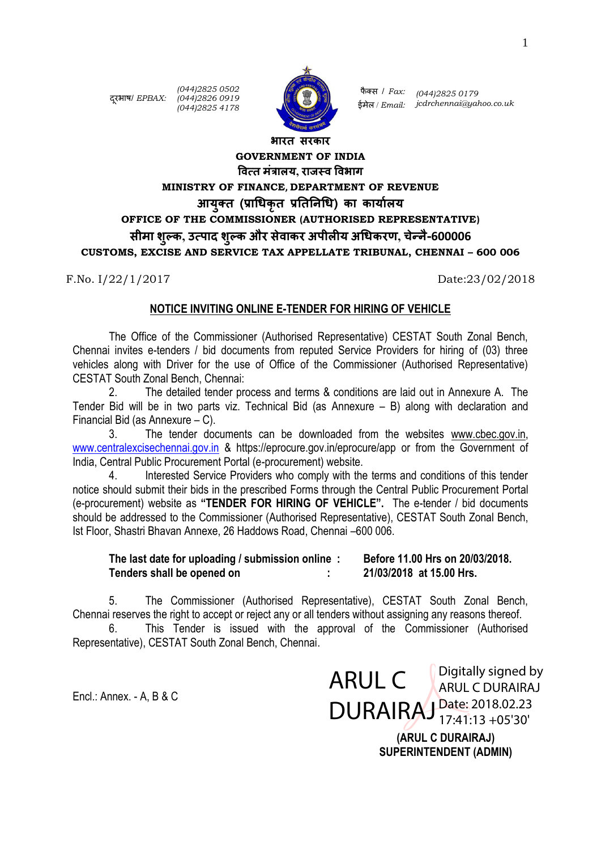दरूभाष/ *EPBAX: (044)2826 0919*

*(044)2825 0502 (044)2825 4178*



फै क्स / *Fax: (044)2825 0179* ईमेल / *Email: jcdrchennai@yahoo.co.uk*

# **भारत सरकार GOVERNMENT OF INDIA वित्त मंत्रालय, राजस्ि विभाग MINISTRY OF FINANCE, DEPARTMENT OF REVENUE आयुक्त (प्राधिकृत प्रतततिधि) का कायाालय OFFICE OF THE COMMISSIONER (AUTHORISED REPRESENTATIVE) सीमा शुल्क, उत्पाद शुल्क और सेिाकर अपीलीय अधिकरण, चेन्िै-600006 CUSTOMS, EXCISE AND SERVICE TAX APPELLATE TRIBUNAL, CHENNAI – 600 006**

F.No. I/22/1/2017 Date:23/02/2018

#### **NOTICE INVITING ONLINE E-TENDER FOR HIRING OF VEHICLE**

The Office of the Commissioner (Authorised Representative) CESTAT South Zonal Bench, Chennai invites e-tenders / bid documents from reputed Service Providers for hiring of (03) three vehicles along with Driver for the use of Office of the Commissioner (Authorised Representative) CESTAT South Zonal Bench, Chennai:

2. The detailed tender process and terms & conditions are laid out in Annexure A. The Tender Bid will be in two parts viz. Technical Bid (as Annexure – B) along with declaration and Financial Bid (as Annexure – C).

3. The tender documents can be downloaded from the websites [www.cbec.gov.in,](http://www.cbec.gov.in/) [www.centralexcisechennai.gov.in](http://www.centralexcisechennai.gov.in/) & https://eprocure.gov.in/eprocure/app or from the Government of India, Central Public Procurement Portal (e-procurement) website.

4. Interested Service Providers who comply with the terms and conditions of this tender notice should submit their bids in the prescribed Forms through the Central Public Procurement Portal (e-procurement) website as **"TENDER FOR HIRING OF VEHICLE".** The e-tender / bid documents should be addressed to the Commissioner (Authorised Representative), CESTAT South Zonal Bench, Ist Floor, Shastri Bhavan Annexe, 26 Haddows Road, Chennai –600 006.

### **The last date for uploading / submission online : Before 11.00 Hrs on 20/03/2018. Tenders shall be opened on : 21/03/2018 at 15.00 Hrs.**

5. The Commissioner (Authorised Representative), CESTAT South Zonal Bench, Chennai reserves the right to accept or reject any or all tenders without assigning any reasons thereof.

This Tender is issued with the approval of the Commissioner (Authorised Representative), CESTAT South Zonal Bench, Chennai.

Encl.: Annex. - A, B & C

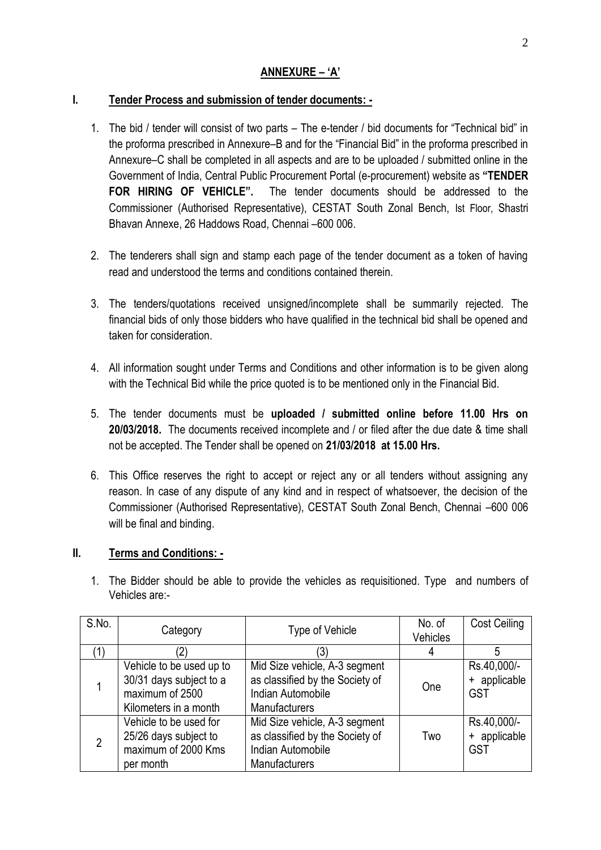## **ANNEXURE – 'A'**

## **I. Tender Process and submission of tender documents: -**

- 1. The bid / tender will consist of two parts The e-tender / bid documents for "Technical bid" in the proforma prescribed in Annexure–B and for the "Financial Bid" in the proforma prescribed in Annexure–C shall be completed in all aspects and are to be uploaded / submitted online in the Government of India, Central Public Procurement Portal (e-procurement) website as **"TENDER FOR HIRING OF VEHICLE".** The tender documents should be addressed to the Commissioner (Authorised Representative), CESTAT South Zonal Bench, Ist Floor, Shastri Bhavan Annexe, 26 Haddows Road, Chennai –600 006.
- 2. The tenderers shall sign and stamp each page of the tender document as a token of having read and understood the terms and conditions contained therein.
- 3. The tenders/quotations received unsigned/incomplete shall be summarily rejected. The financial bids of only those bidders who have qualified in the technical bid shall be opened and taken for consideration.
- 4. All information sought under Terms and Conditions and other information is to be given along with the Technical Bid while the price quoted is to be mentioned only in the Financial Bid.
- 5. The tender documents must be **uploaded / submitted online before 11.00 Hrs on 20/03/2018.** The documents received incomplete and / or filed after the due date & time shall not be accepted. The Tender shall be opened on **21/03/2018 at 15.00 Hrs.**
- 6. This Office reserves the right to accept or reject any or all tenders without assigning any reason. In case of any dispute of any kind and in respect of whatsoever, the decision of the Commissioner (Authorised Representative), CESTAT South Zonal Bench, Chennai –600 006 will be final and binding.

## **II. Terms and Conditions: -**

1. The Bidder should be able to provide the vehicles as requisitioned. Type and numbers of Vehicles are:-

| S.No.          | <b>Type of Vehicle</b><br>Category                                                              |                                                                                                        | No. of<br>Vehicles | <b>Cost Ceiling</b>                       |
|----------------|-------------------------------------------------------------------------------------------------|--------------------------------------------------------------------------------------------------------|--------------------|-------------------------------------------|
|                |                                                                                                 | (3)                                                                                                    | 4                  | 5                                         |
|                | Vehicle to be used up to<br>30/31 days subject to a<br>maximum of 2500<br>Kilometers in a month | Mid Size vehicle, A-3 segment<br>as classified by the Society of<br>Indian Automobile<br>Manufacturers | One                | Rs.40,000/-<br>+ applicable<br><b>GST</b> |
| $\overline{2}$ | Vehicle to be used for<br>25/26 days subject to<br>maximum of 2000 Kms<br>per month             | Mid Size vehicle, A-3 segment<br>as classified by the Society of<br>Indian Automobile<br>Manufacturers | Two                | Rs.40,000/-<br>+ applicable<br>GST        |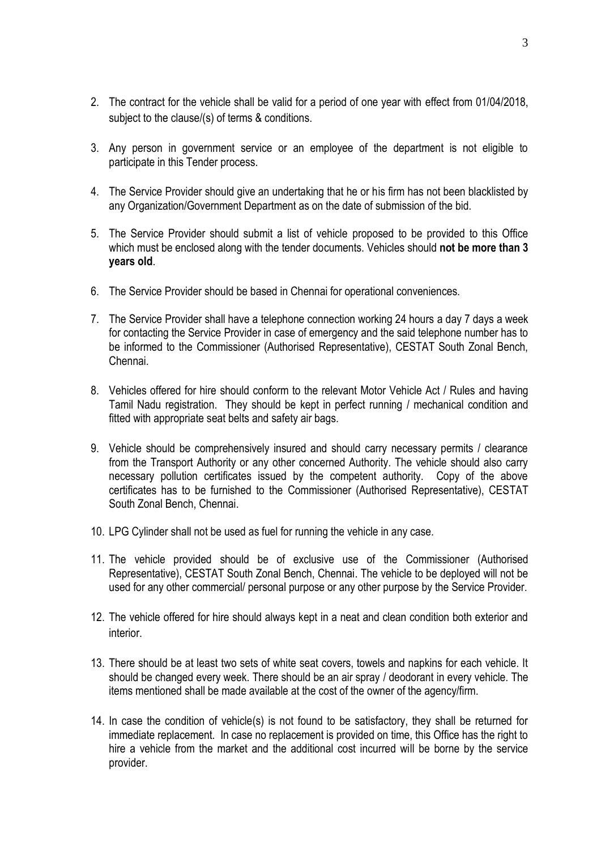- 2. The contract for the vehicle shall be valid for a period of one year with effect from 01/04/2018, subject to the clause/(s) of terms & conditions.
- 3. Any person in government service or an employee of the department is not eligible to participate in this Tender process.
- 4. The Service Provider should give an undertaking that he or his firm has not been blacklisted by any Organization/Government Department as on the date of submission of the bid.
- 5. The Service Provider should submit a list of vehicle proposed to be provided to this Office which must be enclosed along with the tender documents. Vehicles should **not be more than 3 years old**.
- 6. The Service Provider should be based in Chennai for operational conveniences.
- 7. The Service Provider shall have a telephone connection working 24 hours a day 7 days a week for contacting the Service Provider in case of emergency and the said telephone number has to be informed to the Commissioner (Authorised Representative), CESTAT South Zonal Bench, Chennai.
- 8. Vehicles offered for hire should conform to the relevant Motor Vehicle Act / Rules and having Tamil Nadu registration. They should be kept in perfect running / mechanical condition and fitted with appropriate seat belts and safety air bags.
- 9. Vehicle should be comprehensively insured and should carry necessary permits / clearance from the Transport Authority or any other concerned Authority. The vehicle should also carry necessary pollution certificates issued by the competent authority. Copy of the above certificates has to be furnished to the Commissioner (Authorised Representative), CESTAT South Zonal Bench, Chennai.
- 10. LPG Cylinder shall not be used as fuel for running the vehicle in any case.
- 11. The vehicle provided should be of exclusive use of the Commissioner (Authorised Representative), CESTAT South Zonal Bench, Chennai. The vehicle to be deployed will not be used for any other commercial/ personal purpose or any other purpose by the Service Provider.
- 12. The vehicle offered for hire should always kept in a neat and clean condition both exterior and interior.
- 13. There should be at least two sets of white seat covers, towels and napkins for each vehicle. It should be changed every week. There should be an air spray / deodorant in every vehicle. The items mentioned shall be made available at the cost of the owner of the agency/firm.
- 14. In case the condition of vehicle(s) is not found to be satisfactory, they shall be returned for immediate replacement. In case no replacement is provided on time, this Office has the right to hire a vehicle from the market and the additional cost incurred will be borne by the service provider.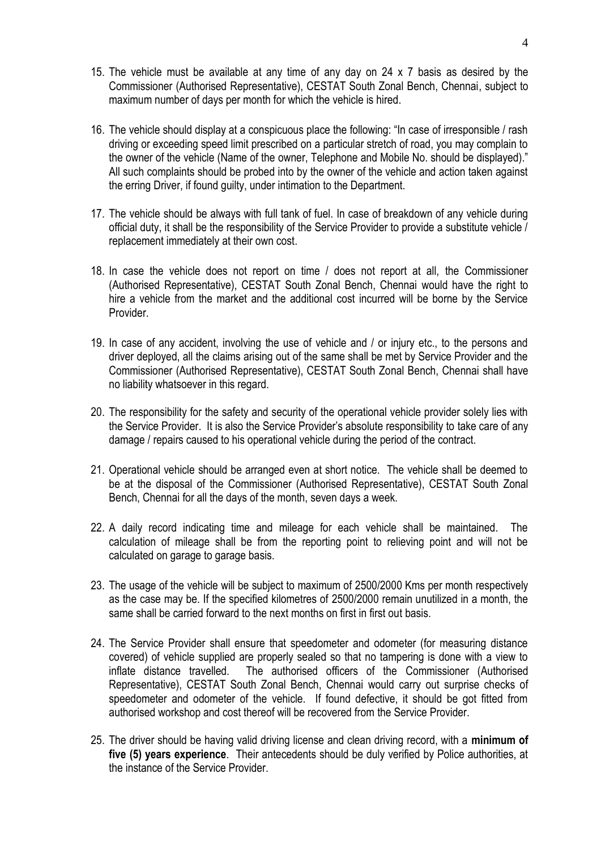- 15. The vehicle must be available at any time of any day on 24 x 7 basis as desired by the Commissioner (Authorised Representative), CESTAT South Zonal Bench, Chennai, subject to maximum number of days per month for which the vehicle is hired.
- 16. The vehicle should display at a conspicuous place the following: "In case of irresponsible / rash driving or exceeding speed limit prescribed on a particular stretch of road, you may complain to the owner of the vehicle (Name of the owner, Telephone and Mobile No. should be displayed)." All such complaints should be probed into by the owner of the vehicle and action taken against the erring Driver, if found guilty, under intimation to the Department.
- 17. The vehicle should be always with full tank of fuel. In case of breakdown of any vehicle during official duty, it shall be the responsibility of the Service Provider to provide a substitute vehicle / replacement immediately at their own cost.
- 18. In case the vehicle does not report on time / does not report at all, the Commissioner (Authorised Representative), CESTAT South Zonal Bench, Chennai would have the right to hire a vehicle from the market and the additional cost incurred will be borne by the Service Provider.
- 19. In case of any accident, involving the use of vehicle and / or injury etc., to the persons and driver deployed, all the claims arising out of the same shall be met by Service Provider and the Commissioner (Authorised Representative), CESTAT South Zonal Bench, Chennai shall have no liability whatsoever in this regard.
- 20. The responsibility for the safety and security of the operational vehicle provider solely lies with the Service Provider. It is also the Service Provider's absolute responsibility to take care of any damage / repairs caused to his operational vehicle during the period of the contract.
- 21. Operational vehicle should be arranged even at short notice. The vehicle shall be deemed to be at the disposal of the Commissioner (Authorised Representative), CESTAT South Zonal Bench, Chennai for all the days of the month, seven days a week.
- 22. A daily record indicating time and mileage for each vehicle shall be maintained. The calculation of mileage shall be from the reporting point to relieving point and will not be calculated on garage to garage basis.
- 23. The usage of the vehicle will be subject to maximum of 2500/2000 Kms per month respectively as the case may be. If the specified kilometres of 2500/2000 remain unutilized in a month, the same shall be carried forward to the next months on first in first out basis.
- 24. The Service Provider shall ensure that speedometer and odometer (for measuring distance covered) of vehicle supplied are properly sealed so that no tampering is done with a view to inflate distance travelled. The authorised officers of the Commissioner (Authorised Representative), CESTAT South Zonal Bench, Chennai would carry out surprise checks of speedometer and odometer of the vehicle. If found defective, it should be got fitted from authorised workshop and cost thereof will be recovered from the Service Provider.
- 25. The driver should be having valid driving license and clean driving record, with a **minimum of five (5) years experience**. Their antecedents should be duly verified by Police authorities, at the instance of the Service Provider.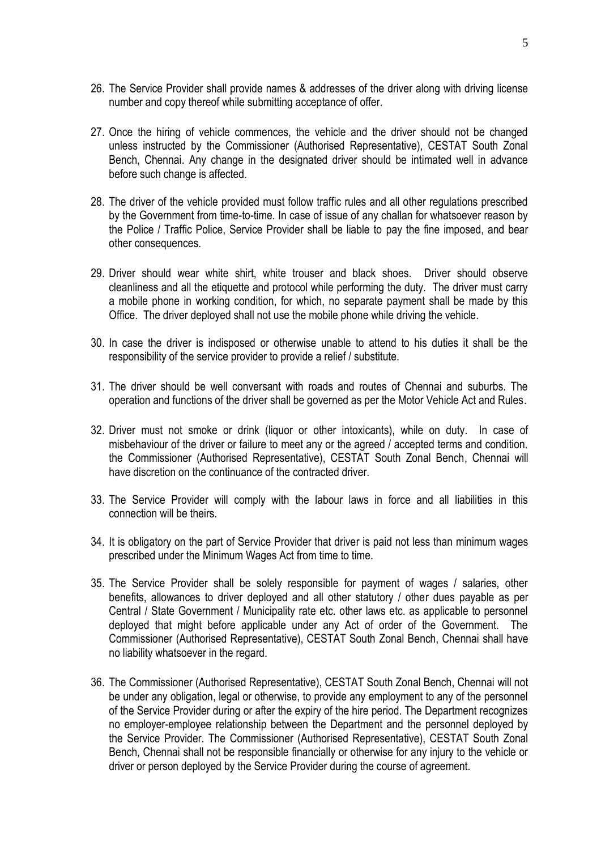- 26. The Service Provider shall provide names & addresses of the driver along with driving license number and copy thereof while submitting acceptance of offer.
- 27. Once the hiring of vehicle commences, the vehicle and the driver should not be changed unless instructed by the Commissioner (Authorised Representative), CESTAT South Zonal Bench, Chennai. Any change in the designated driver should be intimated well in advance before such change is affected.
- 28. The driver of the vehicle provided must follow traffic rules and all other regulations prescribed by the Government from time-to-time. In case of issue of any challan for whatsoever reason by the Police / Traffic Police, Service Provider shall be liable to pay the fine imposed, and bear other consequences.
- 29. Driver should wear white shirt, white trouser and black shoes. Driver should observe cleanliness and all the etiquette and protocol while performing the duty. The driver must carry a mobile phone in working condition, for which, no separate payment shall be made by this Office. The driver deployed shall not use the mobile phone while driving the vehicle.
- 30. In case the driver is indisposed or otherwise unable to attend to his duties it shall be the responsibility of the service provider to provide a relief / substitute.
- 31. The driver should be well conversant with roads and routes of Chennai and suburbs. The operation and functions of the driver shall be governed as per the Motor Vehicle Act and Rules.
- 32. Driver must not smoke or drink (liquor or other intoxicants), while on duty. In case of misbehaviour of the driver or failure to meet any or the agreed / accepted terms and condition. the Commissioner (Authorised Representative), CESTAT South Zonal Bench, Chennai will have discretion on the continuance of the contracted driver.
- 33. The Service Provider will comply with the labour laws in force and all liabilities in this connection will be theirs.
- 34. It is obligatory on the part of Service Provider that driver is paid not less than minimum wages prescribed under the Minimum Wages Act from time to time.
- 35. The Service Provider shall be solely responsible for payment of wages / salaries, other benefits, allowances to driver deployed and all other statutory / other dues payable as per Central / State Government / Municipality rate etc. other laws etc. as applicable to personnel deployed that might before applicable under any Act of order of the Government. The Commissioner (Authorised Representative), CESTAT South Zonal Bench, Chennai shall have no liability whatsoever in the regard.
- 36. The Commissioner (Authorised Representative), CESTAT South Zonal Bench, Chennai will not be under any obligation, legal or otherwise, to provide any employment to any of the personnel of the Service Provider during or after the expiry of the hire period. The Department recognizes no employer-employee relationship between the Department and the personnel deployed by the Service Provider. The Commissioner (Authorised Representative), CESTAT South Zonal Bench, Chennai shall not be responsible financially or otherwise for any injury to the vehicle or driver or person deployed by the Service Provider during the course of agreement.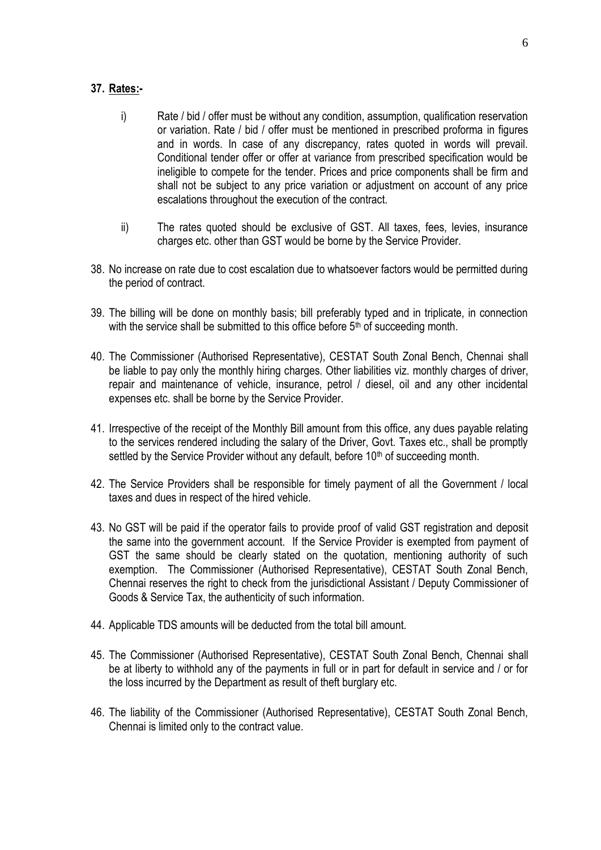### **37. Rates:-**

- i) Rate / bid / offer must be without any condition, assumption, qualification reservation or variation. Rate / bid / offer must be mentioned in prescribed proforma in figures and in words. In case of any discrepancy, rates quoted in words will prevail. Conditional tender offer or offer at variance from prescribed specification would be ineligible to compete for the tender. Prices and price components shall be firm and shall not be subject to any price variation or adjustment on account of any price escalations throughout the execution of the contract.
- ii) The rates quoted should be exclusive of GST. All taxes, fees, levies, insurance charges etc. other than GST would be borne by the Service Provider.
- 38. No increase on rate due to cost escalation due to whatsoever factors would be permitted during the period of contract.
- 39. The billing will be done on monthly basis; bill preferably typed and in triplicate, in connection with the service shall be submitted to this office before 5<sup>th</sup> of succeeding month.
- 40. The Commissioner (Authorised Representative), CESTAT South Zonal Bench, Chennai shall be liable to pay only the monthly hiring charges. Other liabilities viz. monthly charges of driver, repair and maintenance of vehicle, insurance, petrol / diesel, oil and any other incidental expenses etc. shall be borne by the Service Provider.
- 41. Irrespective of the receipt of the Monthly Bill amount from this office, any dues payable relating to the services rendered including the salary of the Driver, Govt. Taxes etc., shall be promptly settled by the Service Provider without any default, before 10<sup>th</sup> of succeeding month.
- 42. The Service Providers shall be responsible for timely payment of all the Government / local taxes and dues in respect of the hired vehicle.
- 43. No GST will be paid if the operator fails to provide proof of valid GST registration and deposit the same into the government account. If the Service Provider is exempted from payment of GST the same should be clearly stated on the quotation, mentioning authority of such exemption. The Commissioner (Authorised Representative), CESTAT South Zonal Bench, Chennai reserves the right to check from the jurisdictional Assistant / Deputy Commissioner of Goods & Service Tax, the authenticity of such information.
- 44. Applicable TDS amounts will be deducted from the total bill amount.
- 45. The Commissioner (Authorised Representative), CESTAT South Zonal Bench, Chennai shall be at liberty to withhold any of the payments in full or in part for default in service and / or for the loss incurred by the Department as result of theft burglary etc.
- 46. The liability of the Commissioner (Authorised Representative), CESTAT South Zonal Bench, Chennai is limited only to the contract value.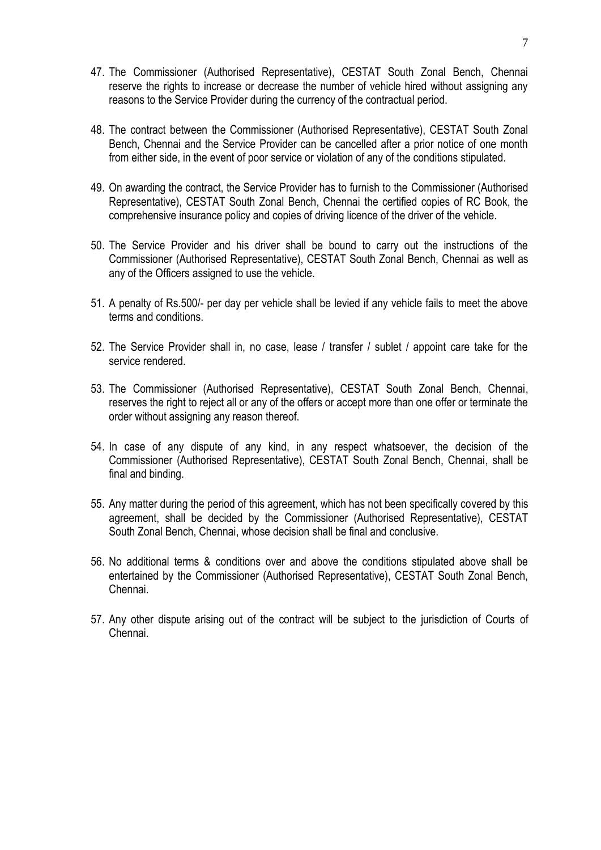- 47. The Commissioner (Authorised Representative), CESTAT South Zonal Bench, Chennai reserve the rights to increase or decrease the number of vehicle hired without assigning any reasons to the Service Provider during the currency of the contractual period.
- 48. The contract between the Commissioner (Authorised Representative), CESTAT South Zonal Bench, Chennai and the Service Provider can be cancelled after a prior notice of one month from either side, in the event of poor service or violation of any of the conditions stipulated.
- 49. On awarding the contract, the Service Provider has to furnish to the Commissioner (Authorised Representative), CESTAT South Zonal Bench, Chennai the certified copies of RC Book, the comprehensive insurance policy and copies of driving licence of the driver of the vehicle.
- 50. The Service Provider and his driver shall be bound to carry out the instructions of the Commissioner (Authorised Representative), CESTAT South Zonal Bench, Chennai as well as any of the Officers assigned to use the vehicle.
- 51. A penalty of Rs.500/- per day per vehicle shall be levied if any vehicle fails to meet the above terms and conditions.
- 52. The Service Provider shall in, no case, lease / transfer / sublet / appoint care take for the service rendered.
- 53. The Commissioner (Authorised Representative), CESTAT South Zonal Bench, Chennai, reserves the right to reject all or any of the offers or accept more than one offer or terminate the order without assigning any reason thereof.
- 54. In case of any dispute of any kind, in any respect whatsoever, the decision of the Commissioner (Authorised Representative), CESTAT South Zonal Bench, Chennai, shall be final and binding.
- 55. Any matter during the period of this agreement, which has not been specifically covered by this agreement, shall be decided by the Commissioner (Authorised Representative), CESTAT South Zonal Bench, Chennai, whose decision shall be final and conclusive.
- 56. No additional terms & conditions over and above the conditions stipulated above shall be entertained by the Commissioner (Authorised Representative), CESTAT South Zonal Bench, Chennai.
- 57. Any other dispute arising out of the contract will be subject to the jurisdiction of Courts of Chennai.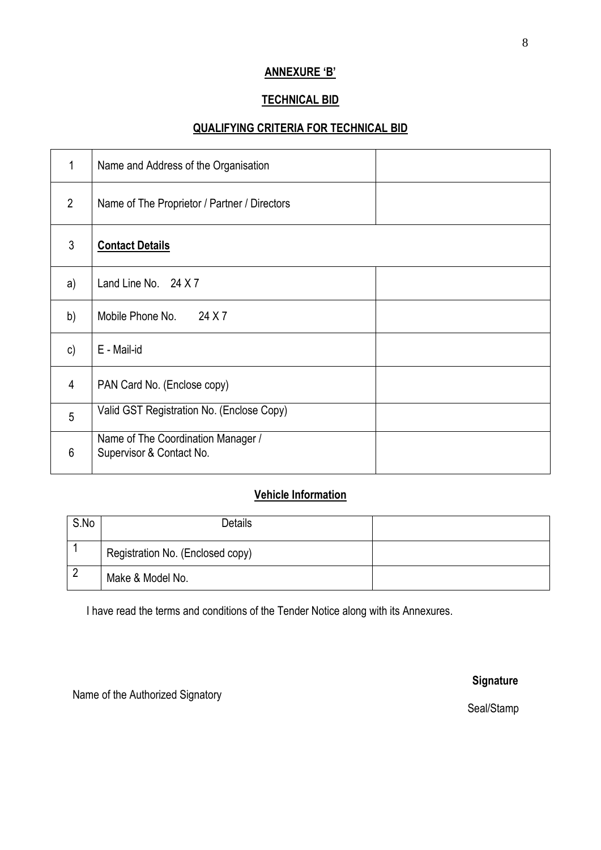## **ANNEXURE 'B'**

## **TECHNICAL BID**

# **QUALIFYING CRITERIA FOR TECHNICAL BID**

| 1              | Name and Address of the Organisation                           |  |
|----------------|----------------------------------------------------------------|--|
| $\overline{2}$ | Name of The Proprietor / Partner / Directors                   |  |
| 3              | <b>Contact Details</b>                                         |  |
| a)             | Land Line No. 24 X 7                                           |  |
| b)             | 24 X 7<br>Mobile Phone No.                                     |  |
| $\mathsf{c})$  | E - Mail-id                                                    |  |
| 4              | PAN Card No. (Enclose copy)                                    |  |
| 5              | Valid GST Registration No. (Enclose Copy)                      |  |
| 6              | Name of The Coordination Manager /<br>Supervisor & Contact No. |  |

# **Vehicle Information**

| S.No | <b>Details</b>                   |  |
|------|----------------------------------|--|
|      | Registration No. (Enclosed copy) |  |
|      | Make & Model No.                 |  |

I have read the terms and conditions of the Tender Notice along with its Annexures.

Name of the Authorized Signatory

**Signature** 

Seal/Stamp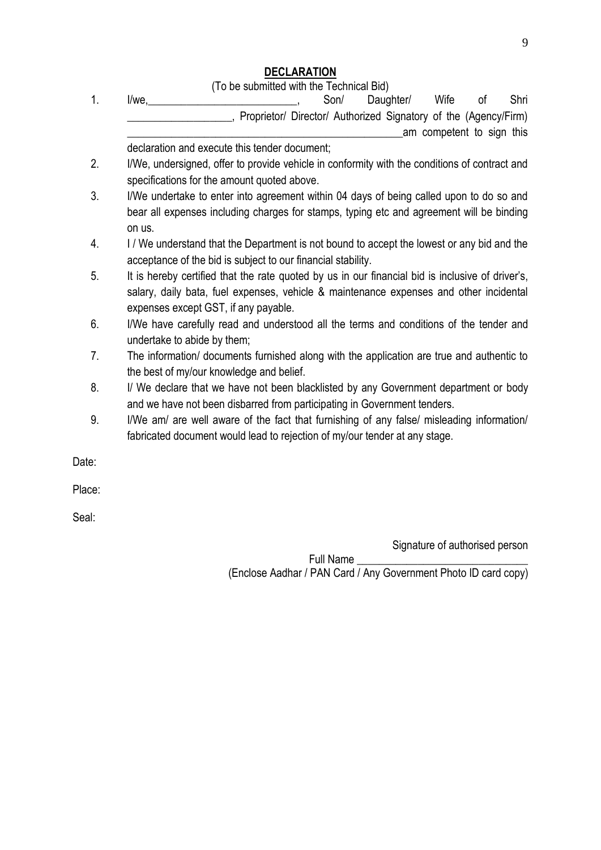## **DECLARATION**

(To be submitted with the Technical Bid)

1. I/we, 2000 1. Son/ Daughter/ Wife of Shri Proprietor/ Director/ Authorized Signatory of the (Agency/Firm) am competent to sign this

declaration and execute this tender document;

- 2. I/We, undersigned, offer to provide vehicle in conformity with the conditions of contract and specifications for the amount quoted above.
- 3. I/We undertake to enter into agreement within 04 days of being called upon to do so and bear all expenses including charges for stamps, typing etc and agreement will be binding on us.
- 4. I / We understand that the Department is not bound to accept the lowest or any bid and the acceptance of the bid is subject to our financial stability.
- 5. It is hereby certified that the rate quoted by us in our financial bid is inclusive of driver's, salary, daily bata, fuel expenses, vehicle & maintenance expenses and other incidental expenses except GST, if any payable.
- 6. I/We have carefully read and understood all the terms and conditions of the tender and undertake to abide by them;
- 7. The information/ documents furnished along with the application are true and authentic to the best of my/our knowledge and belief.
- 8. I/ We declare that we have not been blacklisted by any Government department or body and we have not been disbarred from participating in Government tenders.
- 9. I/We am/ are well aware of the fact that furnishing of any false/ misleading information/ fabricated document would lead to rejection of my/our tender at any stage.

Date:

Place:

Seal:

Signature of authorised person

Full Name \_\_\_\_\_\_\_\_\_\_\_\_\_\_\_\_\_\_\_\_\_\_\_\_\_\_\_\_\_\_\_ (Enclose Aadhar / PAN Card / Any Government Photo ID card copy)